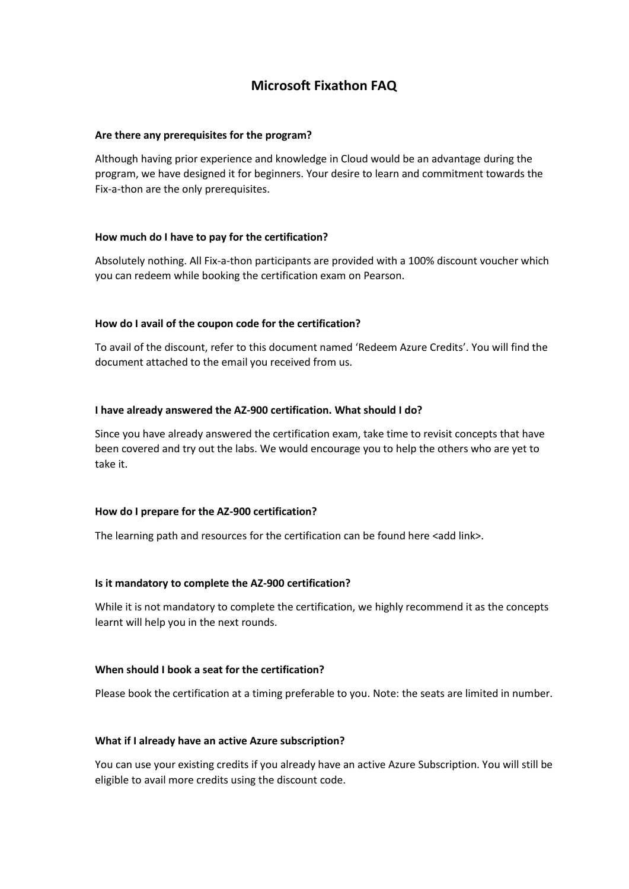# **Microsoft Fixathon FAQ**

## **Are there any prerequisites for the program?**

Although having prior experience and knowledge in Cloud would be an advantage during the program, we have designed it for beginners. Your desire to learn and commitment towards the Fix-a-thon are the only prerequisites.

# **How much do I have to pay for the certification?**

Absolutely nothing. All Fix-a-thon participants are provided with a 100% discount voucher which you can redeem while booking the certification exam on Pearson.

# **How do I avail of the coupon code for the certification?**

To avail of the discount, refer to this document named 'Redeem Azure Credits'. You will find the document attached to the email you received from us.

# **I have already answered the AZ-900 certification. What should I do?**

Since you have already answered the certification exam, take time to revisit concepts that have been covered and try out the labs. We would encourage you to help the others who are yet to take it.

#### **How do I prepare for the AZ-900 certification?**

The learning path and resources for the certification can be found here <add link>.

#### **Is it mandatory to complete the AZ-900 certification?**

While it is not mandatory to complete the certification, we highly recommend it as the concepts learnt will help you in the next rounds.

#### **When should I book a seat for the certification?**

Please book the certification at a timing preferable to you. Note: the seats are limited in number.

#### **What if I already have an active Azure subscription?**

You can use your existing credits if you already have an active Azure Subscription. You will still be eligible to avail more credits using the discount code.